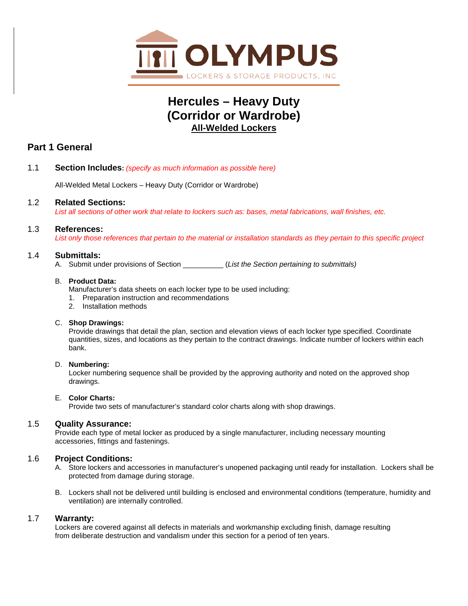

# **Hercules – Heavy Duty (Corridor or Wardrobe) All-Welded Lockers**

# **Part 1 General**

1.1 **Section Includes:** *(specify as much information as possible here)*

All-Welded Metal Lockers – Heavy Duty (Corridor or Wardrobe)

1.2 **Related Sections:**

*List all sections of other work that relate to lockers such as: bases, metal fabrications, wall finishes, etc.*

## 1.3 **References:**

*List only those references that pertain to the material or installation standards as they pertain to this specific project*

## 1.4 **Submittals:**

A. Submit under provisions of Section \_\_\_\_\_\_\_\_\_\_ (*List the Section pertaining to submittals)*

#### B. **Product Data:**

- Manufacturer's data sheets on each locker type to be used including:
- 1. Preparation instruction and recommendations
- 2. Installation methods

## C. **Shop Drawings:**

Provide drawings that detail the plan, section and elevation views of each locker type specified. Coordinate quantities, sizes, and locations as they pertain to the contract drawings. Indicate number of lockers within each bank.

## D. **Numbering:**

Locker numbering sequence shall be provided by the approving authority and noted on the approved shop drawings.

## E. **Color Charts:**

Provide two sets of manufacturer's standard color charts along with shop drawings.

## 1.5 **Quality Assurance:**

Provide each type of metal locker as produced by a single manufacturer, including necessary mounting accessories, fittings and fastenings.

## 1.6 **Project Conditions:**

- A. Store lockers and accessories in manufacturer's unopened packaging until ready for installation. Lockers shall be protected from damage during storage.
- B. Lockers shall not be delivered until building is enclosed and environmental conditions (temperature, humidity and ventilation) are internally controlled.

## 1.7 **Warranty:**

Lockers are covered against all defects in materials and workmanship excluding finish, damage resulting from deliberate destruction and vandalism under this section for a period of ten years.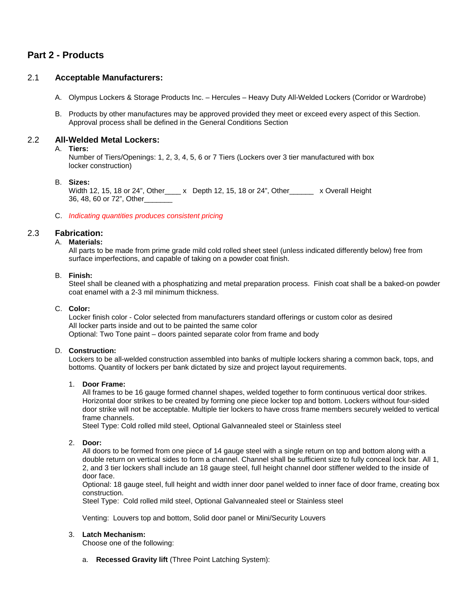# **Part 2 - Products**

## 2.1 **Acceptable Manufacturers:**

- A. Olympus Lockers & Storage Products Inc. Hercules Heavy Duty All-Welded Lockers (Corridor or Wardrobe)
- B. Products by other manufactures may be approved provided they meet or exceed every aspect of this Section. Approval process shall be defined in the General Conditions Section

## 2.2 **All-Welded Metal Lockers:**

#### A. **Tiers:**

Number of Tiers/Openings: 1, 2, 3, 4, 5, 6 or 7 Tiers (Lockers over 3 tier manufactured with box locker construction)

#### B. **Sizes:**

Width 12, 15, 18 or 24", Other\_\_\_\_ x Depth 12, 15, 18 or 24", Other\_\_\_\_\_\_ x Overall Height 36, 48, 60 or 72", Other\_\_\_\_\_\_\_

#### C. *Indicating quantities produces consistent pricing*

## 2.3 **Fabrication:**

## A. **Materials:**

All parts to be made from prime grade mild cold rolled sheet steel (unless indicated differently below) free from surface imperfections, and capable of taking on a powder coat finish.

#### B. **Finish:**

Steel shall be cleaned with a phosphatizing and metal preparation process. Finish coat shall be a baked-on powder coat enamel with a 2-3 mil minimum thickness.

#### C. **Color:**

Locker finish color - Color selected from manufacturers standard offerings or custom color as desired All locker parts inside and out to be painted the same color Optional: Two Tone paint – doors painted separate color from frame and body

#### D. **Construction:**

Lockers to be all-welded construction assembled into banks of multiple lockers sharing a common back, tops, and bottoms. Quantity of lockers per bank dictated by size and project layout requirements.

#### 1. **Door Frame:**

All frames to be 16 gauge formed channel shapes, welded together to form continuous vertical door strikes. Horizontal door strikes to be created by forming one piece locker top and bottom. Lockers without four-sided door strike will not be acceptable. Multiple tier lockers to have cross frame members securely welded to vertical frame channels.

Steel Type: Cold rolled mild steel, Optional Galvannealed steel or Stainless steel

#### 2. **Door:**

All doors to be formed from one piece of 14 gauge steel with a single return on top and bottom along with a double return on vertical sides to form a channel. Channel shall be sufficient size to fully conceal lock bar. All 1, 2, and 3 tier lockers shall include an 18 gauge steel, full height channel door stiffener welded to the inside of door face.

Optional: 18 gauge steel, full height and width inner door panel welded to inner face of door frame, creating box construction.

Steel Type: Cold rolled mild steel, Optional Galvannealed steel or Stainless steel

Venting: Louvers top and bottom, Solid door panel or Mini/Security Louvers

#### 3. **Latch Mechanism:**

Choose one of the following:

a. **Recessed Gravity lift** (Three Point Latching System):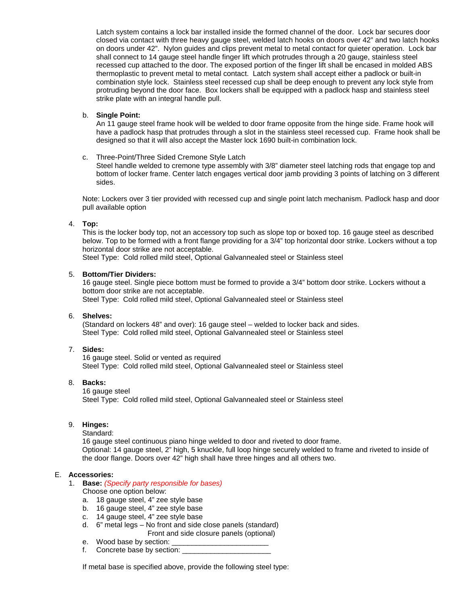Latch system contains a lock bar installed inside the formed channel of the door. Lock bar secures door closed via contact with three heavy gauge steel, welded latch hooks on doors over 42" and two latch hooks on doors under 42". Nylon guides and clips prevent metal to metal contact for quieter operation. Lock bar shall connect to 14 gauge steel handle finger lift which protrudes through a 20 gauge, stainless steel recessed cup attached to the door. The exposed portion of the finger lift shall be encased in molded ABS thermoplastic to prevent metal to metal contact. Latch system shall accept either a padlock or built-in combination style lock. Stainless steel recessed cup shall be deep enough to prevent any lock style from protruding beyond the door face. Box lockers shall be equipped with a padlock hasp and stainless steel strike plate with an integral handle pull.

## b. **Single Point:**

An 11 gauge steel frame hook will be welded to door frame opposite from the hinge side. Frame hook will have a padlock hasp that protrudes through a slot in the stainless steel recessed cup. Frame hook shall be designed so that it will also accept the Master lock 1690 built-in combination lock.

c. Three-Point/Three Sided Cremone Style Latch

Steel handle welded to cremone type assembly with 3/8" diameter steel latching rods that engage top and bottom of locker frame. Center latch engages vertical door jamb providing 3 points of latching on 3 different sides.

Note: Lockers over 3 tier provided with recessed cup and single point latch mechanism. Padlock hasp and door pull available option

#### 4. **Top:**

This is the locker body top, not an accessory top such as slope top or boxed top. 16 gauge steel as described below. Top to be formed with a front flange providing for a 3/4" top horizontal door strike. Lockers without a top horizontal door strike are not acceptable.

Steel Type: Cold rolled mild steel, Optional Galvannealed steel or Stainless steel

#### 5. **Bottom/Tier Dividers:**

16 gauge steel. Single piece bottom must be formed to provide a 3/4" bottom door strike. Lockers without a bottom door strike are not acceptable.

Steel Type: Cold rolled mild steel, Optional Galvannealed steel or Stainless steel

## 6. **Shelves:**

(Standard on lockers 48" and over): 16 gauge steel – welded to locker back and sides. Steel Type: Cold rolled mild steel, Optional Galvannealed steel or Stainless steel

#### 7. **Sides:**

16 gauge steel. Solid or vented as required Steel Type: Cold rolled mild steel, Optional Galvannealed steel or Stainless steel

## 8. **Backs:**

16 gauge steel Steel Type: Cold rolled mild steel, Optional Galvannealed steel or Stainless steel

## 9. **Hinges:**

Standard:

16 gauge steel continuous piano hinge welded to door and riveted to door frame. Optional: 14 gauge steel, 2" high, 5 knuckle, full loop hinge securely welded to frame and riveted to inside of the door flange. Doors over 42" high shall have three hinges and all others two.

#### E. **Accessories:**

1. **Base:** *(Specify party responsible for bases)*

Choose one option below:

- a. 18 gauge steel, 4" zee style base
- b. 16 gauge steel, 4" zee style base
- c. 14 gauge steel, 4" zee style base
- d. 6" metal legs No front and side close panels (standard) Front and side closure panels (optional)
- e. Wood base by section:
- f. Concrete base by section: \_\_\_\_

If metal base is specified above, provide the following steel type: